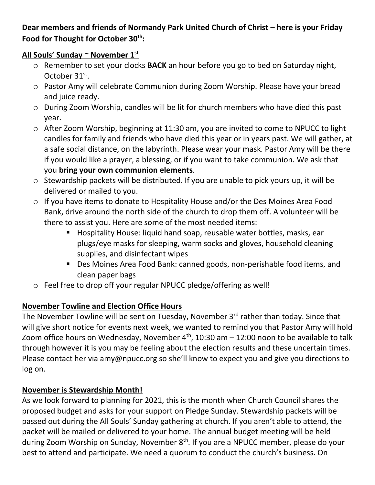Dear members and friends of Normandy Park United Church of Christ – here is your Friday **Food for Thought for October 30th:**

## **All Souls' Sunday ~ November 1st**

- o Remember to set your clocks **BACK** an hour before you go to bed on Saturday night, October 31<sup>st</sup>.
- o Pastor Amy will celebrate Communion during Zoom Worship. Please have your bread and juice ready.
- o During Zoom Worship, candles will be lit for church members who have died this past year.
- o After Zoom Worship, beginning at 11:30 am, you are invited to come to NPUCC to light candles for family and friends who have died this year or in years past. We will gather, at a safe social distance, on the labyrinth. Please wear your mask. Pastor Amy will be there if you would like a prayer, a blessing, or if you want to take communion. We ask that you **bring your own communion elements**.
- o Stewardship packets will be distributed. If you are unable to pick yours up, it will be delivered or mailed to you.
- o If you have items to donate to Hospitality House and/or the Des Moines Area Food Bank, drive around the north side of the church to drop them off. A volunteer will be there to assist you. Here are some of the most needed items:
	- Hospitality House: liquid hand soap, reusable water bottles, masks, ear plugs/eye masks for sleeping, warm socks and gloves, household cleaning supplies, and disinfectant wipes
	- Des Moines Area Food Bank: canned goods, non-perishable food items, and clean paper bags
- o Feel free to drop off your regular NPUCC pledge/offering as well!

## **November Towline and Election Office Hours**

The November Towline will be sent on Tuesday, November 3<sup>rd</sup> rather than today. Since that will give short notice for events next week, we wanted to remind you that Pastor Amy will hold Zoom office hours on Wednesday, November  $4<sup>th</sup>$ , 10:30 am  $-$  12:00 noon to be available to talk through however it is you may be feeling about the election results and these uncertain times. Please contact her via [amy@npucc.org](mailto:amy@npucc.org) so she'll know to expect you and give you directions to log on.

## **November is Stewardship Month!**

As we look forward to planning for 2021, this is the month when Church Council shares the proposed budget and asks for your support on Pledge Sunday. Stewardship packets will be passed out during the All Souls' Sunday gathering at church. If you aren't able to attend, the packet will be mailed or delivered to your home. The annual budget meeting will be held during Zoom Worship on Sunday, November 8<sup>th</sup>. If you are a NPUCC member, please do your best to attend and participate. We need a quorum to conduct the church's business. On